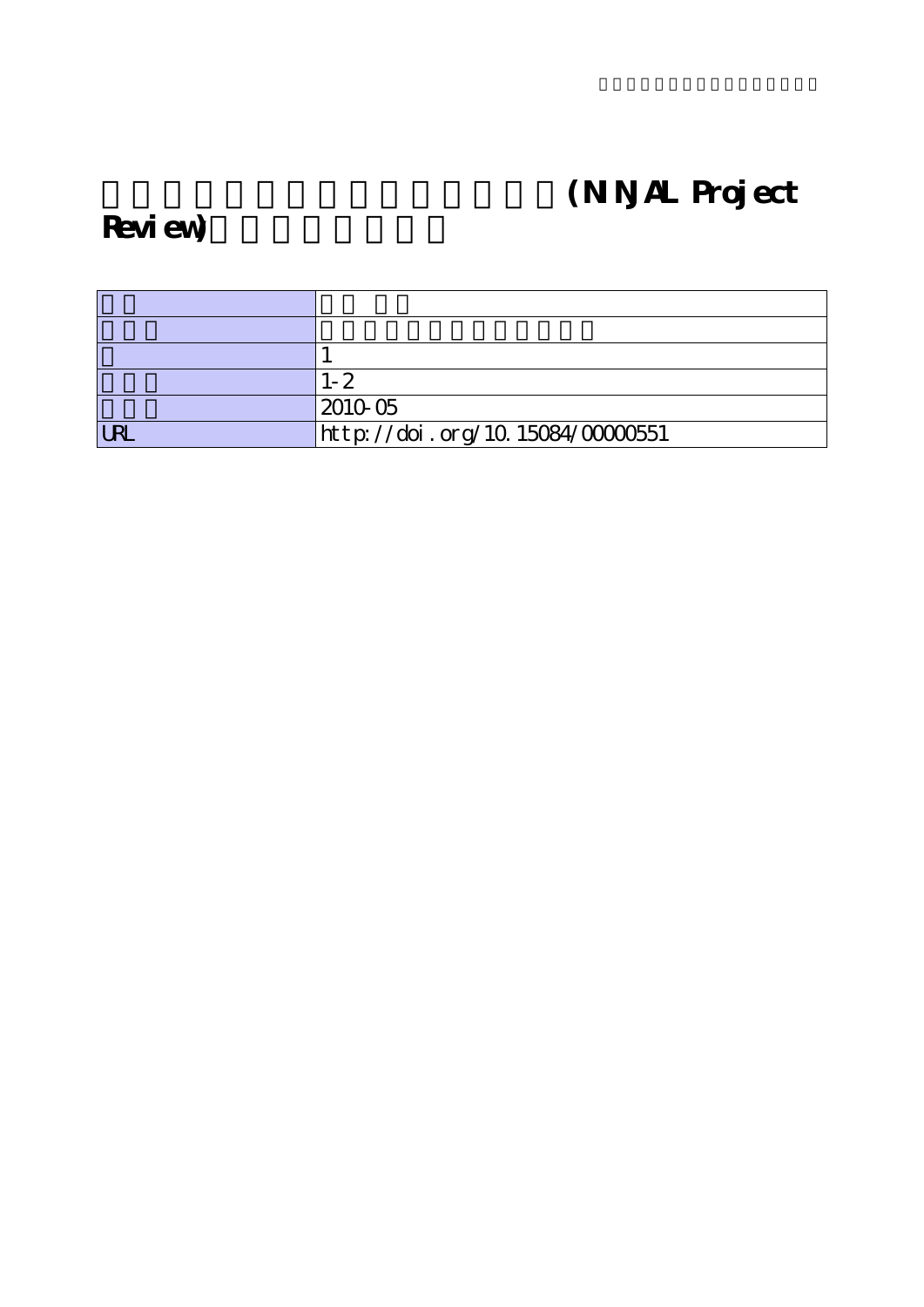# (NNAL Project

## Review)

|            | $1 - 2$                          |
|------------|----------------------------------|
|            | 201005                           |
| <b>URL</b> | http://doi.org/10.15084/00000551 |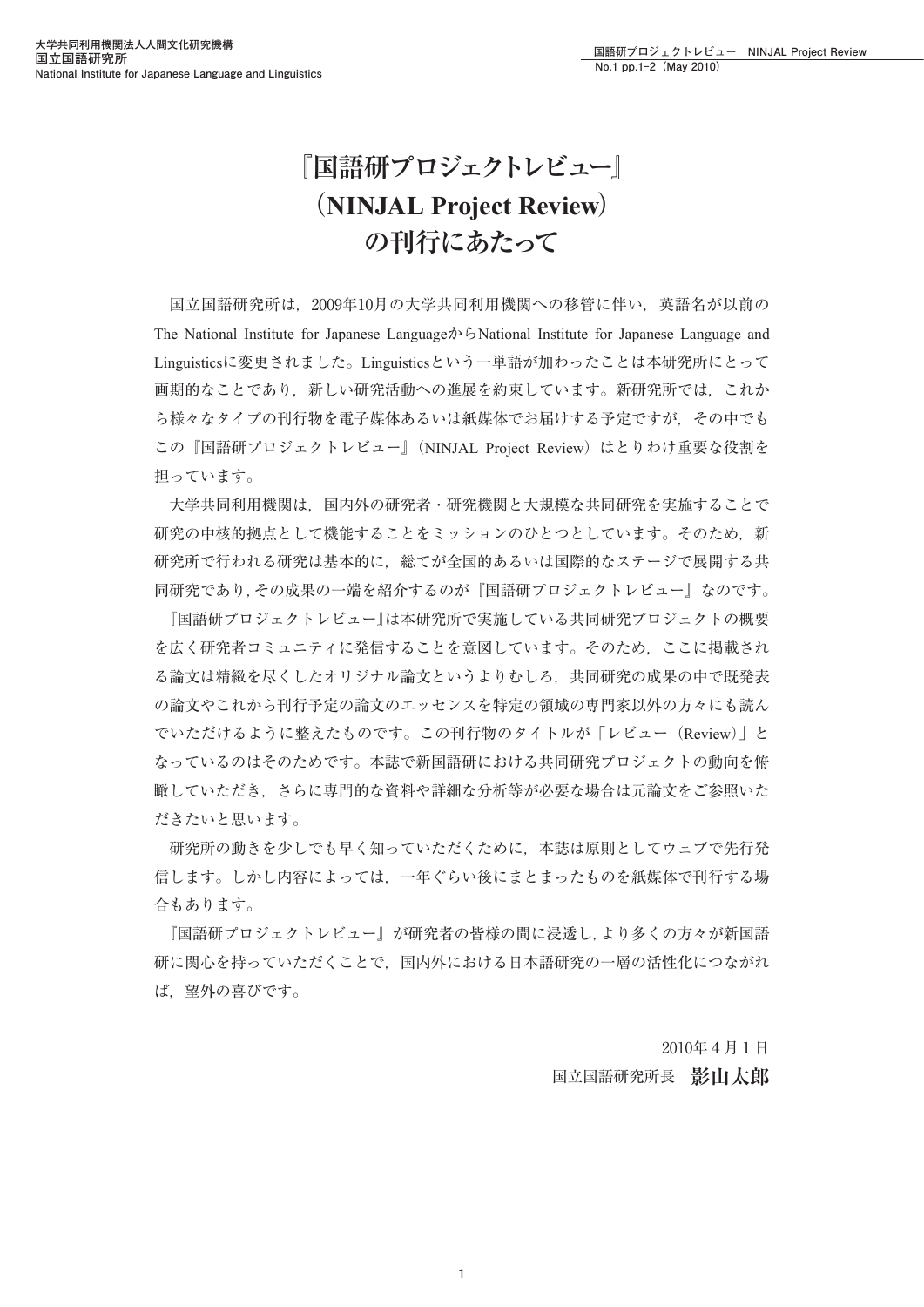## **『国語研プロジェクトレビュー』 (NINJAL Project Review) の刊行にあたって**

国立国語研究所は,2009年10月の大学共同利用機関への移管に伴い,英語名が以前の The National Institute for Japanese LanguageからNational Institute for Japanese Language and Linguisticsに変更されました。Linguisticsという一単語が加わったことは本研究所にとって 画期的なことであり,新しい研究活動への進展を約束しています。新研究所では,これか ら様々なタイプの刊行物を電子媒体あるいは紙媒体でお届けする予定ですが、その中でも この『国語研プロジェクトレビュー』(NINJAL Project Review) はとりわけ重要な役割を 担っています。

大学共同利用機関は,国内外の研究者・研究機関と大規模な共同研究を実施することで 研究の中核的拠点として機能することをミッションのひとつとしています。そのため、新 研究所で行われる研究は基本的に,総てが全国的あるいは国際的なステージで展開する共 同研究であり,その成果の一端を紹介するのが『国語研プロジェクトレビュー』なのです。

『国語研プロジェクトレビュー』は本研究所で実施している共同研究プロジェクトの概要 を広く研究者コミュニティに発信することを意図しています。そのため,ここに掲載され る論文は精緻を尽くしたオリジナル論文というよりむしろ,共同研究の成果の中で既発表 の論文やこれから刊行予定の論文のエッセンスを特定の領域の専門家以外の方々にも読ん でいただけるように整えたものです。この刊行物のタイトルが「レビュー(Review)」と なっているのはそのためです。本誌で新国語研における共同研究プロジェクトの動向を俯 瞰していただき,さらに専門的な資料や詳細な分析等が必要な場合は元論文をご参照いた だきたいと思います。

研究所の動きを少しでも早く知っていただくために,本誌は原則としてウェブで先行発 信します。しかし内容によっては,一年ぐらい後にまとまったものを紙媒体で刊行する場 合もあります。

『国語研プロジェクトレビュー』が研究者の皆様の間に浸透し,より多くの方々が新国語 研に関心を持っていただくことで,国内外における日本語研究の一層の活性化につながれ ば,望外の喜びです。

> 2010年4月1日 国立国語研究所長 **影山太郎**